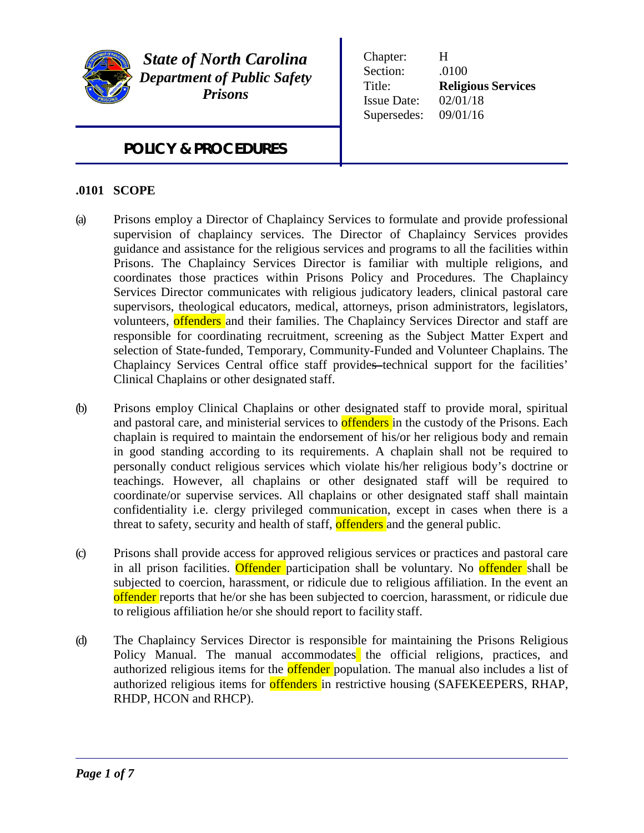

*State of North Carolina Department of Public Safety Prisons*

Chapter: H Section: .0100 Title: **Religious Services** Issue Date: 02/01/18 Supersedes: 09/01/16

# *POLICY & PROCEDURES*

## **.0101 SCOPE**

- (a) Prisons employ a Director of Chaplaincy Services to formulate and provide professional supervision of chaplaincy services. The Director of Chaplaincy Services provides guidance and assistance for the religious services and programs to all the facilities within Prisons. The Chaplaincy Services Director is familiar with multiple religions, and coordinates those practices within Prisons Policy and Procedures. The Chaplaincy Services Director communicates with religious judicatory leaders, clinical pastoral care supervisors, theological educators, medical, attorneys, prison administrators, legislators, volunteers, offenders and their families. The Chaplaincy Services Director and staff are responsible for coordinating recruitment, screening as the Subject Matter Expert and selection of State-funded, Temporary, Community-Funded and Volunteer Chaplains. The Chaplaincy Services Central office staff provides technical support for the facilities' Clinical Chaplains or other designated staff.
- (b) Prisons employ Clinical Chaplains or other designated staff to provide moral, spiritual and pastoral care, and ministerial services to **offenders** in the custody of the Prisons. Each chaplain is required to maintain the endorsement of his/or her religious body and remain in good standing according to its requirements. A chaplain shall not be required to personally conduct religious services which violate his/her religious body's doctrine or teachings. However, all chaplains or other designated staff will be required to coordinate/or supervise services. All chaplains or other designated staff shall maintain confidentiality i.e. clergy privileged communication, except in cases when there is a threat to safety, security and health of staff, offenders and the general public.
- (c) Prisons shall provide access for approved religious services or practices and pastoral care in all prison facilities. Offender participation shall be voluntary. No offender shall be subjected to coercion, harassment, or ridicule due to religious affiliation. In the event an offender reports that he/or she has been subjected to coercion, harassment, or ridicule due to religious affiliation he/or she should report to facility staff.
- (d) The Chaplaincy Services Director is responsible for maintaining the Prisons Religious Policy Manual. The manual accommodates the official religions, practices, and authorized religious items for the **offender** population. The manual also includes a list of authorized religious items for **offenders** in restrictive housing (SAFEKEEPERS, RHAP, RHDP, HCON and RHCP).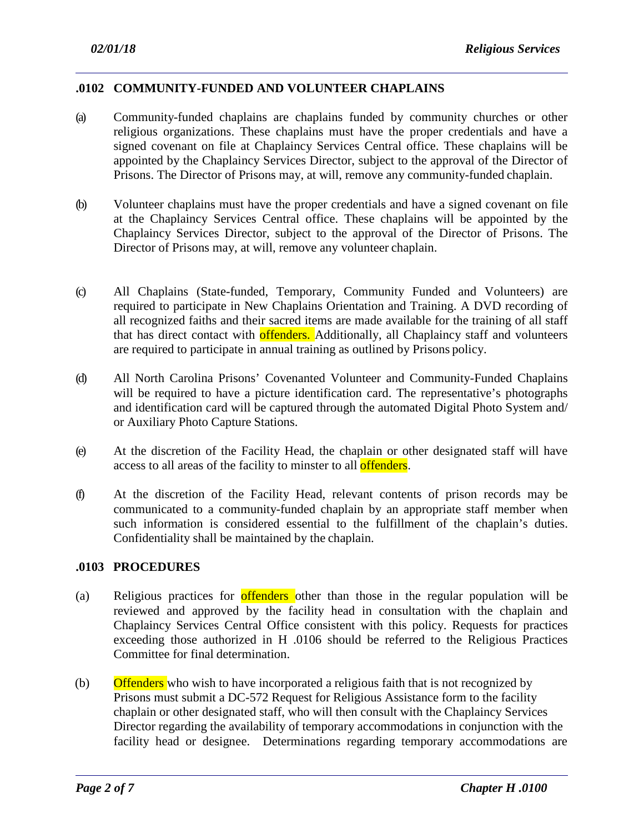## **.0102 COMMUNITY-FUNDED AND VOLUNTEER CHAPLAINS**

- (a) Community-funded chaplains are chaplains funded by community churches or other religious organizations. These chaplains must have the proper credentials and have a signed covenant on file at Chaplaincy Services Central office. These chaplains will be appointed by the Chaplaincy Services Director, subject to the approval of the Director of Prisons. The Director of Prisons may, at will, remove any community-funded chaplain.
- (b) Volunteer chaplains must have the proper credentials and have a signed covenant on file at the Chaplaincy Services Central office. These chaplains will be appointed by the Chaplaincy Services Director, subject to the approval of the Director of Prisons. The Director of Prisons may, at will, remove any volunteer chaplain.
- (c) All Chaplains (State-funded, Temporary, Community Funded and Volunteers) are required to participate in New Chaplains Orientation and Training. A DVD recording of all recognized faiths and their sacred items are made available for the training of all staff that has direct contact with **offenders.** Additionally, all Chaplaincy staff and volunteers are required to participate in annual training as outlined by Prisons policy.
- (d) All North Carolina Prisons' Covenanted Volunteer and Community-Funded Chaplains will be required to have a picture identification card. The representative's photographs and identification card will be captured through the automated Digital Photo System and/ or Auxiliary Photo Capture Stations.
- (e) At the discretion of the Facility Head, the chaplain or other designated staff will have access to all areas of the facility to minster to all **offenders**.
- (f) At the discretion of the Facility Head, relevant contents of prison records may be communicated to a community-funded chaplain by an appropriate staff member when such information is considered essential to the fulfillment of the chaplain's duties. Confidentiality shall be maintained by the chaplain.

### **.0103 PROCEDURES**

- (a) Religious practices for **offenders** other than those in the regular population will be reviewed and approved by the facility head in consultation with the chaplain and Chaplaincy Services Central Office consistent with this policy. Requests for practices exceeding those authorized in H .0106 should be referred to the Religious Practices Committee for final determination.
- (b) Offenders who wish to have incorporated a religious faith that is not recognized by Prisons must submit a DC-572 Request for Religious Assistance form to the facility chaplain or other designated staff, who will then consult with the Chaplaincy Services Director regarding the availability of temporary accommodations in conjunction with the facility head or designee. Determinations regarding temporary accommodations are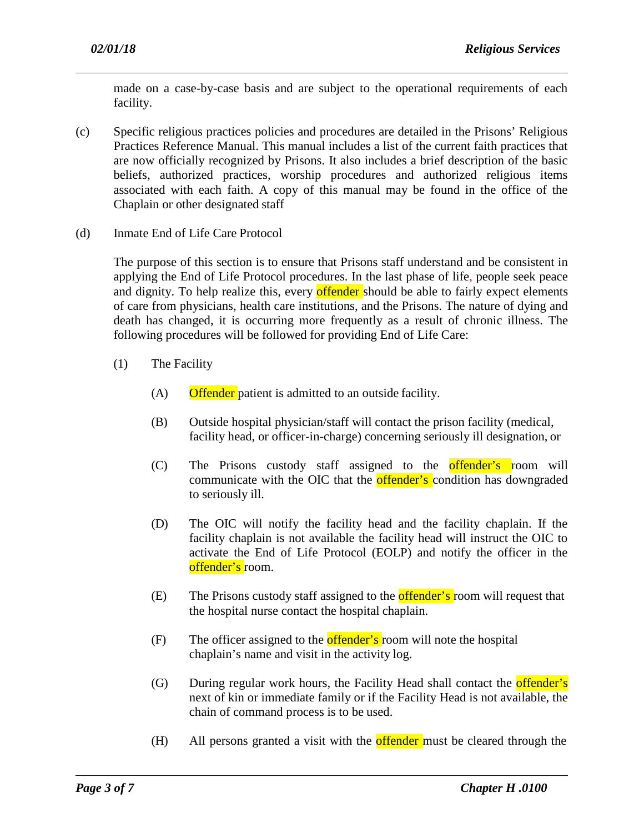made on a case-by-case basis and are subject to the operational requirements of each facility.

- (c) Specific religious practices policies and procedures are detailed in the Prisons' Religious Practices Reference Manual. This manual includes a list of the current faith practices that are now officially recognized by Prisons. It also includes a brief description of the basic beliefs, authorized practices, worship procedures and authorized religious items associated with each faith. A copy of this manual may be found in the office of the Chaplain or other designated staff
- (d) Inmate End of Life Care Protocol

The purpose of this section is to ensure that Prisons staff understand and be consistent in applying the End of Life Protocol procedures. In the last phase of life, people seek peace and dignity. To help realize this, every **offender** should be able to fairly expect elements of care from physicians, health care institutions, and the Prisons. The nature of dying and death has changed, it is occurring more frequently as a result of chronic illness. The following procedures will be followed for providing End of Life Care:

- (1) The Facility
	- (A) Offender patient is admitted to an outside facility.
	- (B) Outside hospital physician/staff will contact the prison facility (medical, facility head, or officer-in-charge) concerning seriously ill designation, or
	- (C) The Prisons custody staff assigned to the offender's room will communicate with the OIC that the **offender's** condition has downgraded to seriously ill.
	- (D) The OIC will notify the facility head and the facility chaplain. If the facility chaplain is not available the facility head will instruct the OIC to activate the End of Life Protocol (EOLP) and notify the officer in the offender's room.
	- (E) The Prisons custody staff assigned to the **offender's** room will request that the hospital nurse contact the hospital chaplain.
	- $(F)$  The officer assigned to the **offender's** room will note the hospital chaplain's name and visit in the activity log.
	- (G) During regular work hours, the Facility Head shall contact the **offender's** next of kin or immediate family or if the Facility Head is not available, the chain of command process is to be used.
	- (H) All persons granted a visit with the **offender** must be cleared through the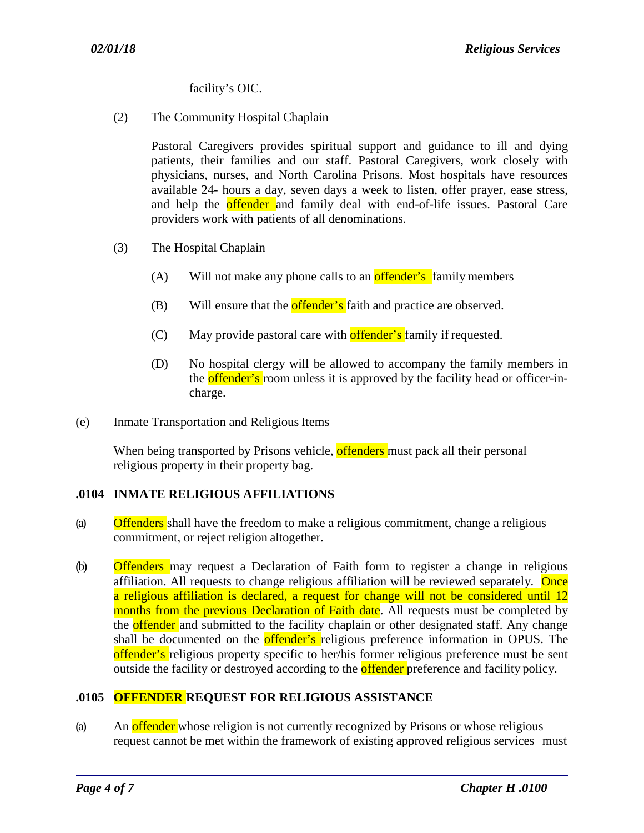facility's OIC.

(2) The Community Hospital Chaplain

Pastoral Caregivers provides spiritual support and guidance to ill and dying patients, their families and our staff. Pastoral Caregivers, work closely with physicians, nurses, and North Carolina Prisons. Most hospitals have resources available 24- hours a day, seven days a week to listen, offer prayer, ease stress, and help the **offender** and family deal with end-of-life issues. Pastoral Care providers work with patients of all denominations.

- (3) The Hospital Chaplain
	- $(A)$  Will not make any phone calls to an **offender's** family members
	- (B) Will ensure that the **offender's** faith and practice are observed.
	- $(C)$  May provide pastoral care with **offender's** family if requested.
	- (D) No hospital clergy will be allowed to accompany the family members in the **offender's** room unless it is approved by the facility head or officer-incharge.
- (e) Inmate Transportation and Religious Items

When being transported by Prisons vehicle, offenders must pack all their personal religious property in their property bag.

## **.0104 INMATE RELIGIOUS AFFILIATIONS**

- (a) Offenders shall have the freedom to make a religious commitment, change a religious commitment, or reject religion altogether.
- (b) Offenders may request a Declaration of Faith form to register a change in religious affiliation. All requests to change religious affiliation will be reviewed separately. Once a religious affiliation is declared, a request for change will not be considered until 12 months from the previous Declaration of Faith date. All requests must be completed by the **offender** and submitted to the facility chaplain or other designated staff. Any change shall be documented on the **offender's** religious preference information in OPUS. The offender's religious property specific to her/his former religious preference must be sent outside the facility or destroyed according to the **offender** preference and facility policy.

## **.0105 OFFENDER REQUEST FOR RELIGIOUS ASSISTANCE**

(a) An **offender** whose religion is not currently recognized by Prisons or whose religious request cannot be met within the framework of existing approved religious services must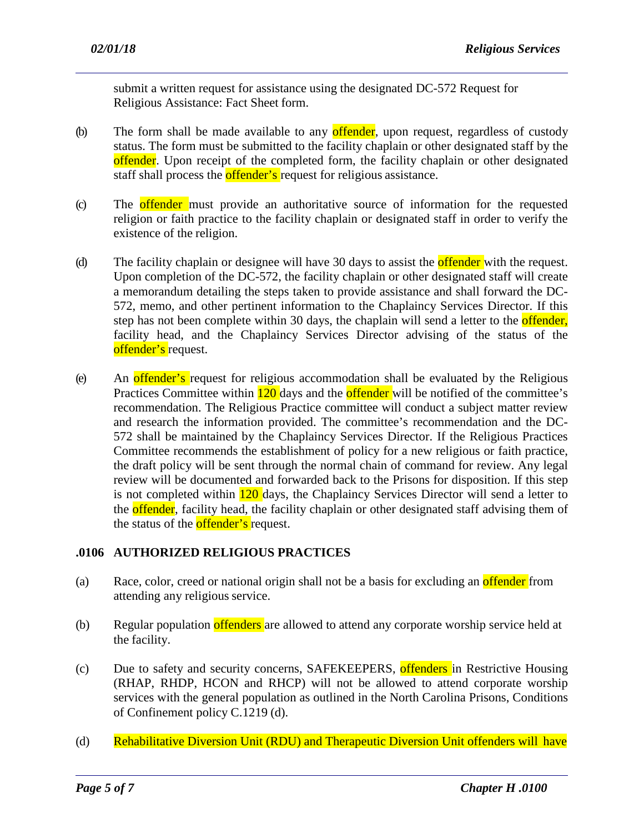submit a written request for assistance using the designated DC-572 Request for Religious Assistance: Fact Sheet form.

- (b) The form shall be made available to any **offender**, upon request, regardless of custody status. The form must be submitted to the facility chaplain or other designated staff by the offender. Upon receipt of the completed form, the facility chaplain or other designated staff shall process the **offender's** request for religious assistance.
- (c) The offender must provide an authoritative source of information for the requested religion or faith practice to the facility chaplain or designated staff in order to verify the existence of the religion.
- (d) The facility chaplain or designee will have 30 days to assist the **offender** with the request. Upon completion of the DC-572, the facility chaplain or other designated staff will create a memorandum detailing the steps taken to provide assistance and shall forward the DC-572, memo, and other pertinent information to the Chaplaincy Services Director. If this step has not been complete within 30 days, the chaplain will send a letter to the **offender**, facility head, and the Chaplaincy Services Director advising of the status of the offender's request.
- (e) An offender's request for religious accommodation shall be evaluated by the Religious Practices Committee within 120 days and the **offender** will be notified of the committee's recommendation. The Religious Practice committee will conduct a subject matter review and research the information provided. The committee's recommendation and the DC-572 shall be maintained by the Chaplaincy Services Director. If the Religious Practices Committee recommends the establishment of policy for a new religious or faith practice, the draft policy will be sent through the normal chain of command for review. Any legal review will be documented and forwarded back to the Prisons for disposition. If this step is not completed within 120 days, the Chaplaincy Services Director will send a letter to the offender, facility head, the facility chaplain or other designated staff advising them of the status of the **offender's** request.

## **.0106 AUTHORIZED RELIGIOUS PRACTICES**

- (a) Race, color, creed or national origin shall not be a basis for excluding an **offender** from attending any religious service.
- (b) Regular population offenders are allowed to attend any corporate worship service held at the facility.
- (c) Due to safety and security concerns, SAFEKEEPERS, offenders in Restrictive Housing (RHAP, RHDP, HCON and RHCP) will not be allowed to attend corporate worship services with the general population as outlined in the North Carolina Prisons, Conditions of Confinement policy C.1219 (d).
- (d) Rehabilitative Diversion Unit (RDU) and Therapeutic Diversion Unit offenders will have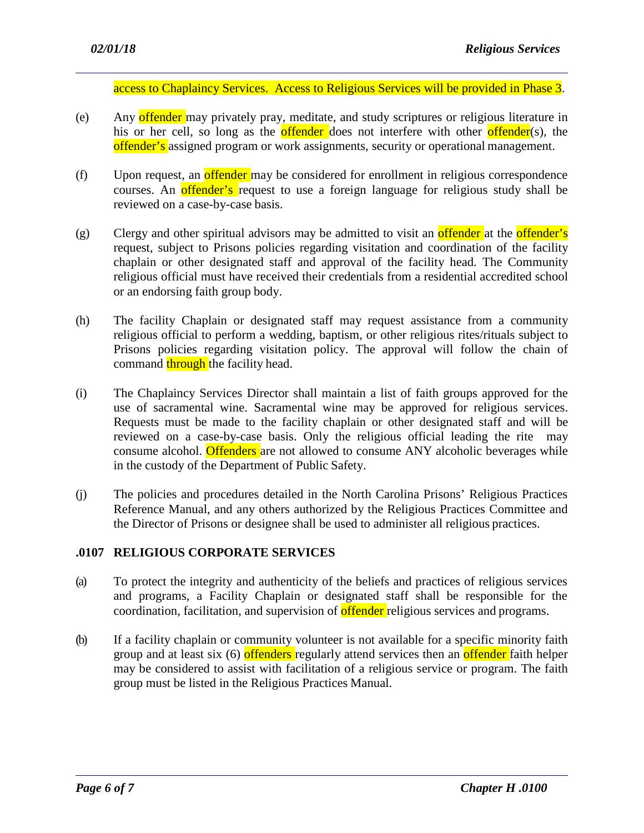access to Chaplaincy Services. Access to Religious Services will be provided in Phase 3.

- (e) Any offender may privately pray, meditate, and study scriptures or religious literature in his or her cell, so long as the **offender** does not interfere with other **offender**(s), the offender's assigned program or work assignments, security or operational management.
- (f) Upon request, an offender may be considered for enrollment in religious correspondence courses. An offender's request to use a foreign language for religious study shall be reviewed on a case-by-case basis.
- (g) Clergy and other spiritual advisors may be admitted to visit an **offender** at the **offender's** request, subject to Prisons policies regarding visitation and coordination of the facility chaplain or other designated staff and approval of the facility head. The Community religious official must have received their credentials from a residential accredited school or an endorsing faith group body.
- (h) The facility Chaplain or designated staff may request assistance from a community religious official to perform a wedding, baptism, or other religious rites/rituals subject to Prisons policies regarding visitation policy. The approval will follow the chain of command through the facility head.
- (i) The Chaplaincy Services Director shall maintain a list of faith groups approved for the use of sacramental wine. Sacramental wine may be approved for religious services. Requests must be made to the facility chaplain or other designated staff and will be reviewed on a case-by-case basis. Only the religious official leading the rite may consume alcohol. Offenders are not allowed to consume ANY alcoholic beverages while in the custody of the Department of Public Safety.
- (j) The policies and procedures detailed in the North Carolina Prisons' Religious Practices Reference Manual, and any others authorized by the Religious Practices Committee and the Director of Prisons or designee shall be used to administer all religious practices.

#### **.0107 RELIGIOUS CORPORATE SERVICES**

- (a) To protect the integrity and authenticity of the beliefs and practices of religious services and programs, a Facility Chaplain or designated staff shall be responsible for the coordination, facilitation, and supervision of **offender** religious services and programs.
- (b) If a facility chaplain or community volunteer is not available for a specific minority faith group and at least six (6) offenders regularly attend services then an offender faith helper may be considered to assist with facilitation of a religious service or program. The faith group must be listed in the Religious Practices Manual.